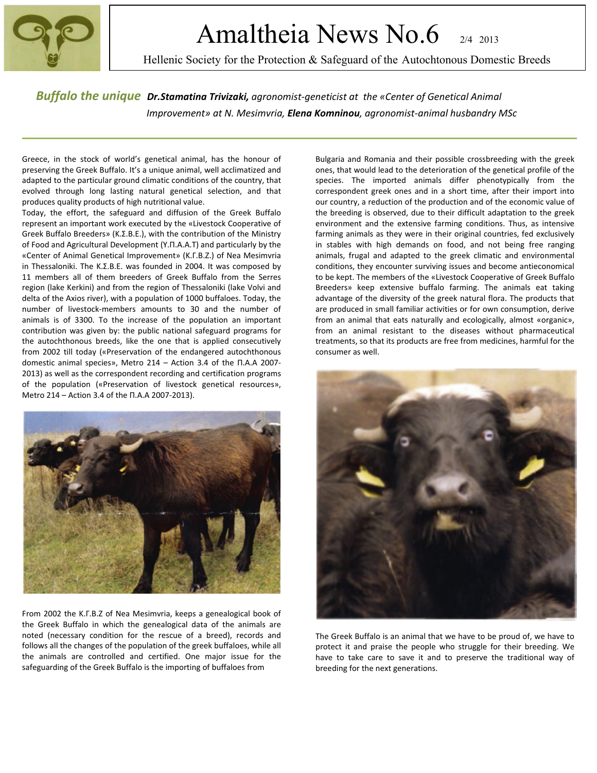

# Amaltheia News No.6 2/4 2013

Hellenic Society for the Protection & Safeguard of the Autochtonous Domestic Breeds

*Buffalo the unique Dr.Stamatina Trivizaki, agronomist-geneticist at the «Center of Genetical Animal Improvement» at N. Mesimvria, Elena Komninou, agronomist-animal husbandry MSc*

 Greece, in the stock of world's genetical animal, has the honour of preserving the Greek Buffalo. It's a unique animal, well acclimatized and adapted to the particular ground climatic conditions of the country, that evolved through long lasting natural genetical selection, and that produces quality products of high nutritional value.

Today, the effort, the safeguard and diffusion of the Greek Buffalo represent an important work executed by the «Livestock Cooperative of Greek Buffalo Breeders» (K.Σ.B.E.), with the contribution of the Ministry of Food and Agricultural Development (Y.Π.A.A.T) and particularly by the «Center of Animal Genetical Improvement» (K.Γ.B.Z.) of Nea Mesimvria in Thessaloniki. The K.Σ.B.E. was founded in 2004. It was composed by 11 members all of them breeders of Greek Buffalo from the Serres region (lake Kerkini) and from the region of Thessaloniki (lake Volvi and delta of the Axios river), with a population of 1000 buffaloes. Today, the number of livestock-members amounts to 30 and the number of animals is of 3300. To the increase of the population an important contribution was given by: the public national safeguard programs for the autochthonous breeds, like the one that is applied consecutively from 2002 till today («Preservation of the endangered autochthonous domestic animal species», Metro 214 – Action 3.4 of the Π.A.A 2007- 2013) as well as the correspondent recording and certification programs of the population («Preservation of livestock genetical resources», Metro 214 – Action 3.4 of the Π.A.A 2007-2013).



From 2002 the K.Γ.B.Z of Nea Mesimvria, keeps a genealogical book of the Greek Buffalo in which the genealogical data of the animals are noted (necessary condition for the rescue of a breed), records and follows all the changes of the population of the greek buffaloes, while all the animals are controlled and certified. One major issue for the safeguarding of the Greek Buffalo is the importing of buffaloes from

Bulgaria and Romania and their possible crossbreeding with the greek ones, that would lead to the deterioration of the genetical profile of the species. The imported animals differ phenotypically from the correspondent greek ones and in a short time, after their import into our country, a reduction of the production and of the economic value of the breeding is observed, due to their difficult adaptation to the greek environment and the extensive farming conditions. Thus, as intensive farming animals as they were in their original countries, fed exclusively in stables with high demands on food, and not being free ranging animals, frugal and adapted to the greek climatic and environmental conditions, they encounter surviving issues and become antieconomical to be kept. The members of the «Livestock Cooperative of Greek Buffalo Breeders» keep extensive buffalo farming. The animals eat taking advantage of the diversity of the greek natural flora. The products that are produced in small familiar activities or for own consumption, derive from an animal that eats naturally and ecologically, almost «organic», from an animal resistant to the diseases without pharmaceutical treatments, so that its products are free from medicines, harmful for the consumer as well.



The Greek Buffalo is an animal that we have to be proud of, we have to protect it and praise the people who struggle for their breeding. We have to take care to save it and to preserve the traditional way of breeding for the next generations.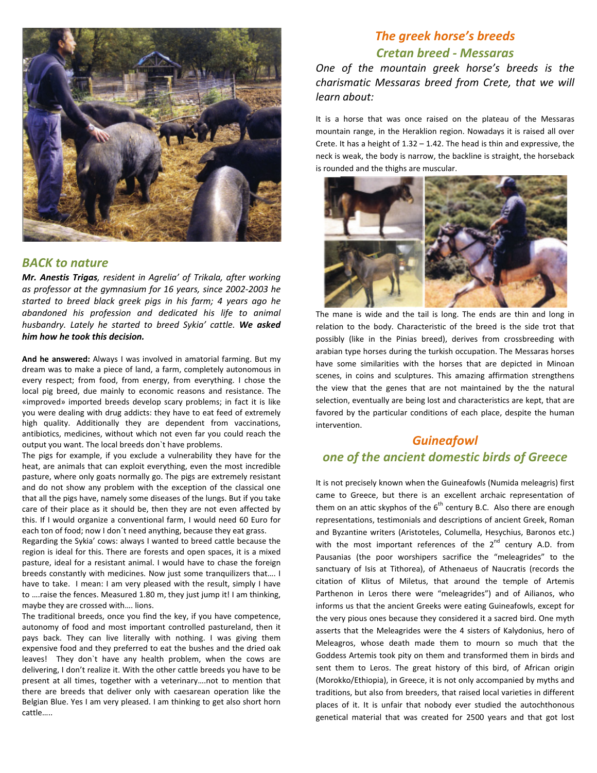

#### *BACK to nature*

*Mr. Anestis Trigas, resident in Agrelia' of Trikala, after working as professor at the gymnasium for 16 years, since 2002-2003 he started to breed black greek pigs in his farm; 4 years ago he abandoned his profession and dedicated his life to animal husbandry. Lately he started to breed Sykia' cattle. We asked him how he took this decision.* 

**And he answered:** Always I was involved in amatorial farming. But my dream was to make a piece of land, a farm, completely autonomous in every respect; from food, from energy, from everything. I chose the local pig breed, due mainly to economic reasons and resistance. The «improved» imported breeds develop scary problems; in fact it is like you were dealing with drug addicts: they have to eat feed of extremely high quality. Additionally they are dependent from vaccinations, antibiotics, medicines, without which not even far you could reach the output you want. The local breeds don`t have problems.

The pigs for example, if you exclude a vulnerability they have for the heat, are animals that can exploit everything, even the most incredible pasture, where only goats normally go. The pigs are extremely resistant and do not show any problem with the exception of the classical one that all the pigs have, namely some diseases of the lungs. But if you take care of their place as it should be, then they are not even affected by this. If I would organize a conventional farm, I would need 60 Euro for each ton of food; now I don´t need anything, because they eat grass.

Regarding the Sykia' cows: always I wanted to breed cattle because the region is ideal for this. There are forests and open spaces, it is a mixed pasture, ideal for a resistant animal. I would have to chase the foreign breeds constantly with medicines. Now just some tranquilizers that…. I have to take. I mean: I am very pleased with the result, simply I have to ….raise the fences. Measured 1.80 m, they just jump it! I am thinking, maybe they are crossed with…. lions.

The traditional breeds, once you find the key, if you have competence, autonomy of food and most important controlled pastureland, then it pays back. They can live literally with nothing. I was giving them expensive food and they preferred to eat the bushes and the dried oak leaves! They don`t have any health problem, when the cows are delivering, I don't realize it. With the other cattle breeds you have to be present at all times, together with a veterinary….not to mention that there are breeds that deliver only with caesarean operation like the Belgian Blue. Yes I am very pleased. I am thinking to get also short horn cattle…..

### *The greek horse's breeds Cretan breed - Messaras*

*One of the mountain greek horse's breeds is the charismatic Messaras breed from Crete, that we will learn about:* 

It is a horse that was once raised on the plateau of the Messaras mountain range, in the Heraklion region. Nowadays it is raised all over Crete. It has a height of  $1.32 - 1.42$ . The head is thin and expressive, the neck is weak, the body is narrow, the backline is straight, the horseback is rounded and the thighs are muscular.



The mane is wide and the tail is long. The ends are thin and long in relation to the body. Characteristic of the breed is the side trot that possibly (like in the Pinias breed), derives from crossbreeding with arabian type horses during the turkish occupation. The Messaras horses have some similarities with the horses that are depicted in Minoan scenes, in coins and sculptures. This amazing affirmation strengthens the view that the genes that are not maintained by the the natural selection, eventually are being lost and characteristics are kept, that are favored by the particular conditions of each place, despite the human intervention.

#### *Guineafowl*

### *one of the ancient domestic birds of Greece*

It is not precisely known when the Guineafowls (Numida meleagris) first came to Greece, but there is an excellent archaic representation of them on an attic skyphos of the  $6<sup>th</sup>$  century B.C. Also there are enough representations, testimonials and descriptions of ancient Greek, Roman and Byzantine writers (Aristoteles, Columella, Hesychius, Baronos etc.) with the most important references of the  $2^{nd}$  century A.D. from Pausanias (the poor worshipers sacrifice the "meleagrides" to the sanctuary of Isis at Tithorea), of Athenaeus of Naucratis (records the citation of Klitus of Miletus, that around the temple of Artemis Parthenon in Leros there were "meleagrides") and of Ailianos, who informs us that the ancient Greeks were eating Guineafowls, except for the very pious ones because they considered it a sacred bird. One myth asserts that the Meleagrides were the 4 sisters of Kalydonius, hero of Meleagros, whose death made them to mourn so much that the Goddess Artemis took pity on them and transformed them in birds and sent them to Leros. The great history of this bird, of African origin (Morokko/Ethiopia), in Greece, it is not only accompanied by myths and traditions, but also from breeders, that raised local varieties in different places of it. It is unfair that nobody ever studied the autochthonous genetical material that was created for 2500 years and that got lost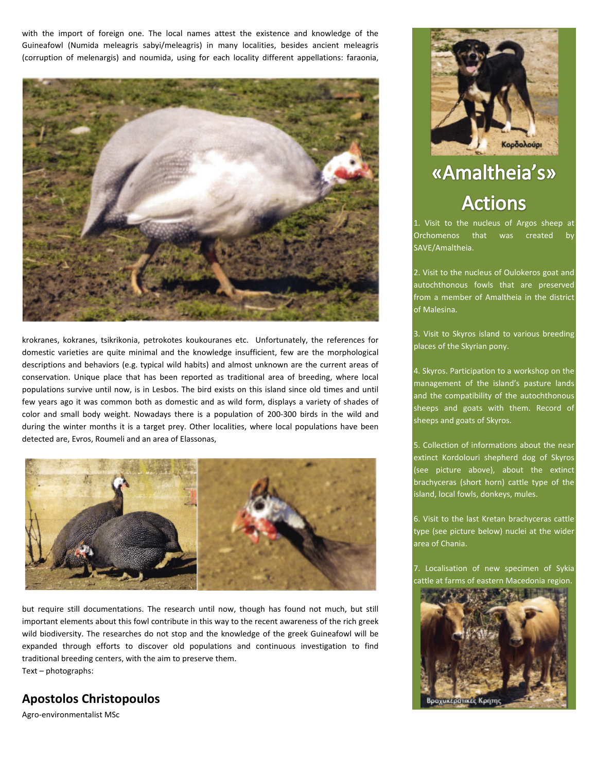with the import of foreign one. The local names attest the existence and knowledge of the Guineafowl (Numida meleagris sabyi/meleagris) in many localities, besides ancient meleagris (corruption of melenargis) and noumida, using for each locality different appellations: faraonia,



krokranes, kokranes, tsikrikonia, petrokotes koukouranes etc. Unfortunately, the references for domestic varieties are quite minimal and the knowledge insufficient, few are the morphological descriptions and behaviors (e.g. typical wild habits) and almost unknown are the current areas of conservation. Unique place that has been reported as traditional area of breeding, where local populations survive until now, is in Lesbos. The bird exists on this island since old times and until few years ago it was common both as domestic and as wild form, displays a variety of shades of color and small body weight. Nowadays there is a population of 200-300 birds in the wild and during the winter months it is a target prey. Other localities, where local populations have been detected are, Evros, Roumeli and an area of Elassonas,



but require still documentations. The research until now, though has found not much, but still important elements about this fowl contribute in this way to the recent awareness of the rich greek wild biodiversity. The researches do not stop and the knowledge of the greek Guineafowl will be expanded through efforts to discover old populations and continuous investigation to find traditional breeding centers, with the aim to preserve them. Text – photographs:

#### **Apostolos Christopoulos**

Agro-environmentalist MSc



# «Amaltheia's» **Actions**

1. Visit to the nucleus of Argos sheep at Orchomenos that was created SAVE/Amaltheia.

2. Visit to the nucleus of Oulokeros goat and autochthonous fowls that are preserved from a member of Amaltheia in the district of Malesina.

3. Visit to Skyros island to various breeding places of the Skyrian pony.

4. Skyros. Participation to a workshop on the management of the island's pasture lands and the compatibility of the autochthonous sheeps and goats with them. Record of sheeps and goats of Skyros.

5. Collection of informations about the near extinct Kordolouri shepherd dog of Skyros (see picture above), about the extinct brachyceras (short horn) cattle type of the island, local fowls, donkeys, mules.

6. Visit to the last Kretan brachyceras cattle type (see picture below) nuclei at the wider area of Chania.

7. Localisation of new specimen of Sykia cattle at farms of eastern Macedonia region.